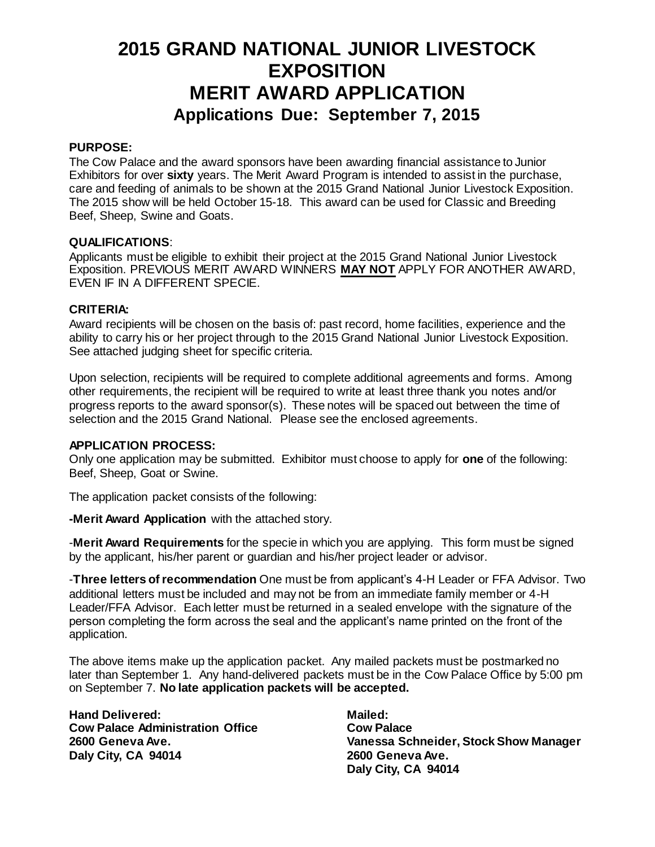## **2015 GRAND NATIONAL JUNIOR LIVESTOCK EXPOSITION MERIT AWARD APPLICATION Applications Due: September 7, 2015**

### **PURPOSE:**

The Cow Palace and the award sponsors have been awarding financial assistance to Junior Exhibitors for over **sixty** years. The Merit Award Program is intended to assist in the purchase, care and feeding of animals to be shown at the 2015 Grand National Junior Livestock Exposition. The 2015 show will be held October 15-18. This award can be used for Classic and Breeding Beef, Sheep, Swine and Goats.

### **QUALIFICATIONS**:

Applicants must be eligible to exhibit their project at the 2015 Grand National Junior Livestock Exposition. PREVIOUS MERIT AWARD WINNERS **MAY NOT** APPLY FOR ANOTHER AWARD, EVEN IF IN A DIFFERENT SPECIE.

### **CRITERIA:**

Award recipients will be chosen on the basis of: past record, home facilities, experience and the ability to carry his or her project through to the 2015 Grand National Junior Livestock Exposition. See attached judging sheet for specific criteria.

Upon selection, recipients will be required to complete additional agreements and forms. Among other requirements, the recipient will be required to write at least three thank you notes and/or progress reports to the award sponsor(s). These notes will be spaced out between the time of selection and the 2015 Grand National. Please see the enclosed agreements.

#### **APPLICATION PROCESS:**

Only one application may be submitted. Exhibitor must choose to apply for **one** of the following: Beef, Sheep, Goat or Swine.

The application packet consists of the following:

**-Merit Award Application** with the attached story.

-**Merit Award Requirements** for the specie in which you are applying. This form must be signed by the applicant, his/her parent or guardian and his/her project leader or advisor.

-**Three letters of recommendation** One must be from applicant's 4-H Leader or FFA Advisor. Two additional letters must be included and may not be from an immediate family member or 4-H Leader/FFA Advisor. Each letter must be returned in a sealed envelope with the signature of the person completing the form across the seal and the applicant's name printed on the front of the application.

The above items make up the application packet. Any mailed packets must be postmarked no later than September 1. Any hand-delivered packets must be in the Cow Palace Office by 5:00 pm on September 7. **No late application packets will be accepted.**

**Hand Delivered: Cow Palace Administration Office 2600 Geneva Ave. Daly City, CA 94014**

**Mailed: Cow Palace Vanessa Schneider, Stock Show Manager 2600 Geneva Ave. Daly City, CA 94014**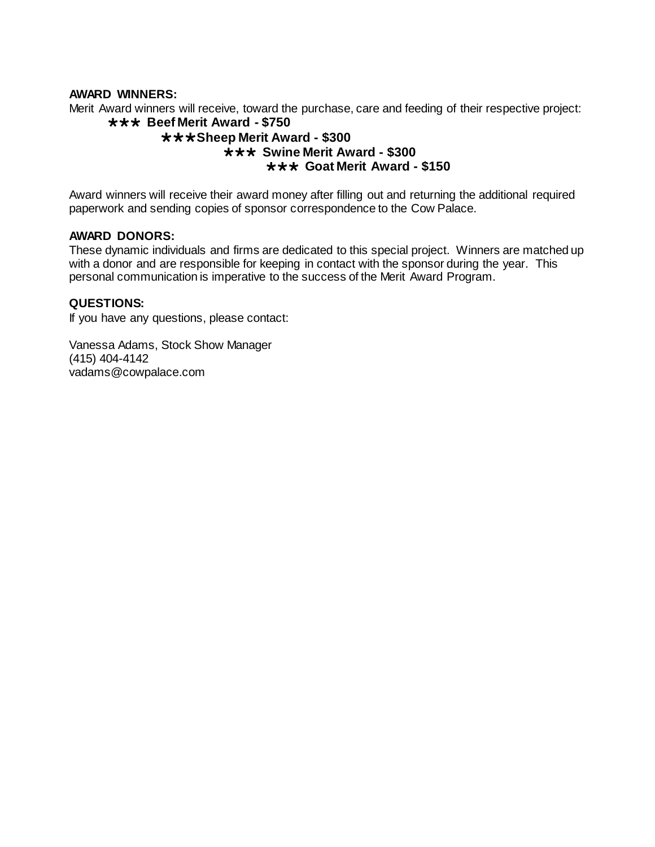#### **AWARD WINNERS:**

Merit Award winners will receive, toward the purchase, care and feeding of their respective project: **\*\*\* Beef Merit Award - \$750** 

### **Sheep Merit Award - \$300 \*\*\* Swine Merit Award - \$300 Goat Merit Award - \$150**

Award winners will receive their award money after filling out and returning the additional required paperwork and sending copies of sponsor correspondence to the Cow Palace.

#### **AWARD DONORS:**

These dynamic individuals and firms are dedicated to this special project. Winners are matched up with a donor and are responsible for keeping in contact with the sponsor during the year. This personal communication is imperative to the success of the Merit Award Program.

#### **QUESTIONS:**

If you have any questions, please contact:

Vanessa Adams, Stock Show Manager (415) 404-4142 vadams@cowpalace.com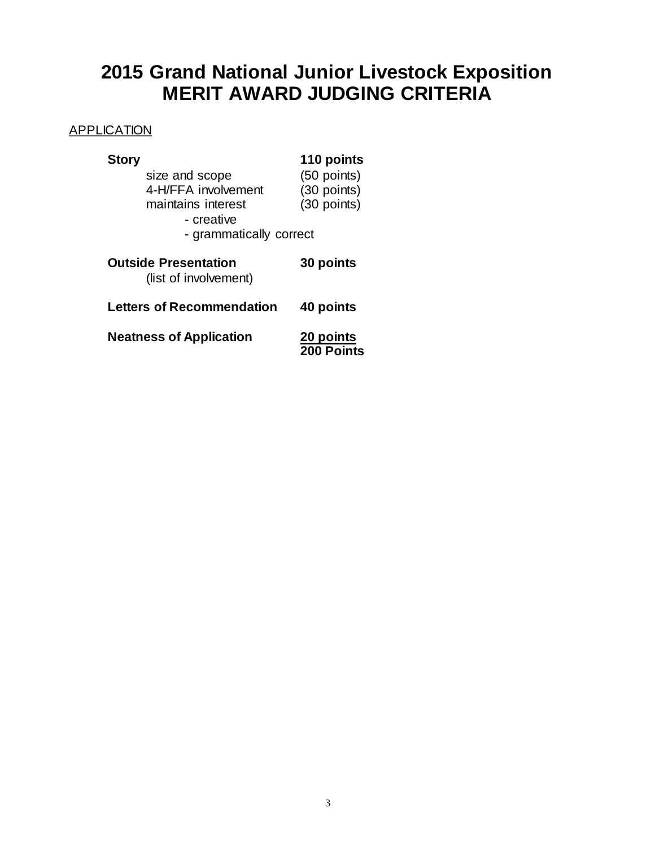# **2015 Grand National Junior Livestock Exposition MERIT AWARD JUDGING CRITERIA**

### **APPLICATION**

| <b>Story</b>                                         | 110 points  |  |  |  |
|------------------------------------------------------|-------------|--|--|--|
| size and scope                                       | (50 points) |  |  |  |
| 4-H/FFA involvement                                  | (30 points) |  |  |  |
| maintains interest                                   | (30 points) |  |  |  |
| - creative                                           |             |  |  |  |
| - grammatically correct                              |             |  |  |  |
| <b>Outside Presentation</b><br>(list of involvement) | 30 points   |  |  |  |
| <b>Letters of Recommendation</b>                     | 40 points   |  |  |  |
| <b>Neatness of Application</b>                       | 20 points   |  |  |  |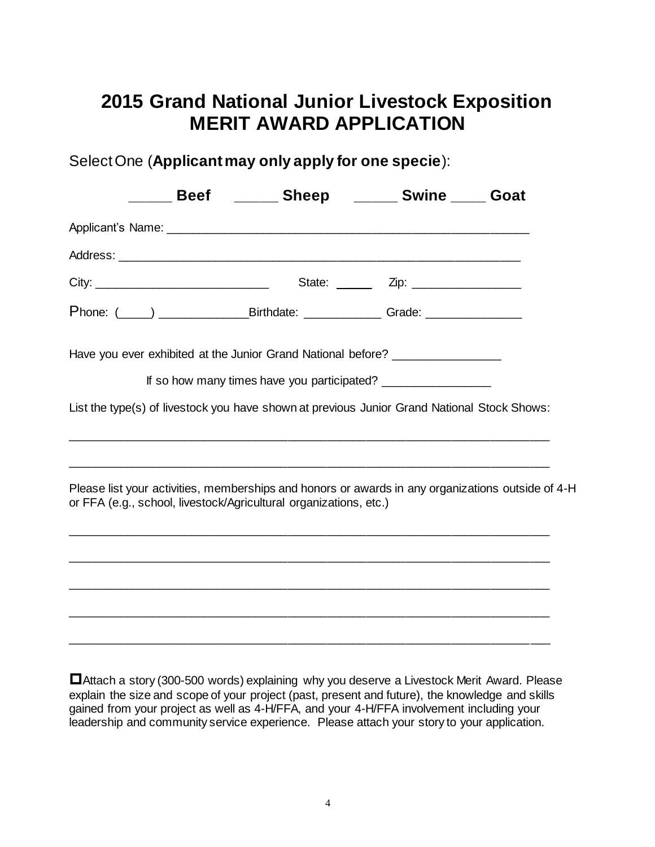## **2015 Grand National Junior Livestock Exposition MERIT AWARD APPLICATION**

Select One (**Applicant may only apply for one specie**):

|  | Beef ______ Sheep _____ Swine ____ Goat                                                                                                                                |                                        |  |
|--|------------------------------------------------------------------------------------------------------------------------------------------------------------------------|----------------------------------------|--|
|  |                                                                                                                                                                        |                                        |  |
|  |                                                                                                                                                                        |                                        |  |
|  |                                                                                                                                                                        | State: _______ Zip: __________________ |  |
|  |                                                                                                                                                                        |                                        |  |
|  | Have you ever exhibited at the Junior Grand National before? ___________________                                                                                       |                                        |  |
|  | If so how many times have you participated? _____________________                                                                                                      |                                        |  |
|  | List the type(s) of livestock you have shown at previous Junior Grand National Stock Shows:                                                                            |                                        |  |
|  | Please list your activities, memberships and honors or awards in any organizations outside of 4-H<br>or FFA (e.g., school, livestock/Agricultural organizations, etc.) |                                        |  |
|  |                                                                                                                                                                        |                                        |  |
|  |                                                                                                                                                                        |                                        |  |
|  |                                                                                                                                                                        |                                        |  |
|  |                                                                                                                                                                        |                                        |  |

Attach a story (300-500 words) explaining why you deserve a Livestock Merit Award. Please explain the size and scope of your project (past, present and future), the knowledge and skills gained from your project as well as 4-H/FFA, and your 4-H/FFA involvement including your leadership and community service experience. Please attach your story to your application.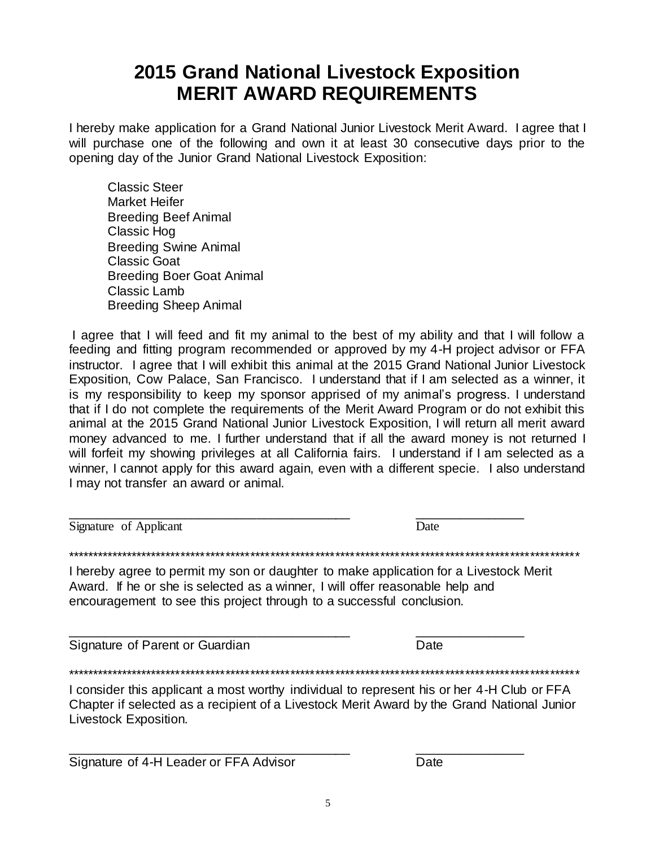## **2015 Grand National Livestock Exposition MERIT AWARD REQUIREMENTS**

I hereby make application for a Grand National Junior Livestock Merit Award. I agree that I will purchase one of the following and own it at least 30 consecutive days prior to the opening day of the Junior Grand National Livestock Exposition:

Classic Steer Market Heifer Breeding Beef Animal Classic Hog Breeding Swine Animal Classic Goat Breeding Boer Goat Animal Classic Lamb Breeding Sheep Animal

I agree that I will feed and fit my animal to the best of my ability and that I will follow a feeding and fitting program recommended or approved by my 4-H project advisor or FFA instructor. I agree that I will exhibit this animal at the 2015 Grand National Junior Livestock Exposition, Cow Palace, San Francisco. I understand that if I am selected as a winner, it is my responsibility to keep my sponsor apprised of my animal's progress. I understand that if I do not complete the requirements of the Merit Award Program or do not exhibit this animal at the 2015 Grand National Junior Livestock Exposition, I will return all merit award money advanced to me. I further understand that if all the award money is not returned I will forfeit my showing privileges at all California fairs. I understand if I am selected as a winner, I cannot apply for this award again, even with a different specie. I also understand I may not transfer an award or animal.

Signature of Applicant Date

\_\_\_\_\_\_\_\_\_\_\_\_\_\_\_\_\_\_\_\_\_\_\_\_\_\_\_\_\_\_\_\_\_\_\_\_\_\_\_ \_\_\_\_\_\_\_\_\_\_\_\_\_\_\_

\*\*\*\*\*\*\*\*\*\*\*\*\*\*\*\*\*\*\*\*\*\*\*\*\*\*\*\*\*\*\*\*\*\*\*\*\*\*\*\*\*\*\*\*\*\*\*\*\*\*\*\*\*\*\*\*\*\*\*\*\*\*\*\*\*\*\*\*\*\*\*\*\*\*\*\*\*\*\*\*\*\*\*\*\*\*\*\*\*\*\*\*\*\*\*\*\*\*\*\*\*\*\*

I hereby agree to permit my son or daughter to make application for a Livestock Merit Award. If he or she is selected as a winner, I will offer reasonable help and encouragement to see this project through to a successful conclusion.

\_\_\_\_\_\_\_\_\_\_\_\_\_\_\_\_\_\_\_\_\_\_\_\_\_\_\_\_\_\_\_\_\_\_\_\_\_\_\_ \_\_\_\_\_\_\_\_\_\_\_\_\_\_\_

Signature of Parent or Guardian Date

\*\*\*\*\*\*\*\*\*\*\*\*\*\*\*\*\*\*\*\*\*\*\*\*\*\*\*\*\*\*\*\*\*\*\*\*\*\*\*\*\*\*\*\*\*\*\*\*\*\*\*\*\*\*\*\*\*\*\*\*\*\*\*\*\*\*\*\*\*\*\*\*\*\*\*\*\*\*\*\*\*\*\*\*\*\*\*\*\*\*\*\*\*\*\*\*\*\*\*\*\*\*\*

I consider this applicant a most worthy individual to represent his or her 4-H Club or FFA Chapter if selected as a recipient of a Livestock Merit Award by the Grand National Junior Livestock Exposition.

\_\_\_\_\_\_\_\_\_\_\_\_\_\_\_\_\_\_\_\_\_\_\_\_\_\_\_\_\_\_\_\_\_\_\_\_\_\_\_ \_\_\_\_\_\_\_\_\_\_\_\_\_\_\_ Signature of 4-H Leader or FFA Advisor Date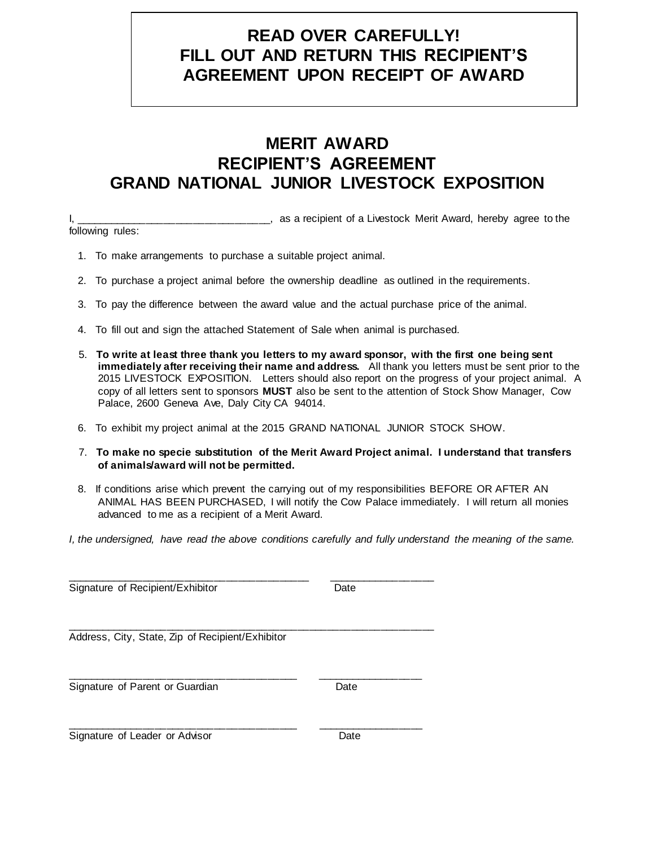### **READ OVER CAREFULLY! FILL OUT AND RETURN THIS RECIPIENT'S AGREEMENT UPON RECEIPT OF AWARD**

## **MERIT AWARD RECIPIENT'S AGREEMENT GRAND NATIONAL JUNIOR LIVESTOCK EXPOSITION**

I, the same of a Livestock Merit Award, hereby agree to the following rules:

- 1. To make arrangements to purchase a suitable project animal.
- 2. To purchase a project animal before the ownership deadline as outlined in the requirements.
- 3. To pay the difference between the award value and the actual purchase price of the animal.
- 4. To fill out and sign the attached Statement of Sale when animal is purchased.
- 5. **To write at least three thank you letters to my award sponsor, with the first one being sent immediately after receiving their name and address.** All thank you letters must be sent prior to the 2015 LIVESTOCK EXPOSITION. Letters should also report on the progress of your project animal. A copy of all letters sent to sponsors **MUST** also be sent to the attention of Stock Show Manager, Cow Palace, 2600 Geneva Ave, Daly City CA 94014.
- 6. To exhibit my project animal at the 2015 GRAND NATIONAL JUNIOR STOCK SHOW.
- 7. **To make no specie substitution of the Merit Award Project animal. I understand that transfers of animals/award will not be permitted.**
- 8. If conditions arise which prevent the carrying out of my responsibilities BEFORE OR AFTER AN ANIMAL HAS BEEN PURCHASED, I will notify the Cow Palace immediately. I will return all monies advanced to me as a recipient of a Merit Award.
- *I, the undersigned, have read the above conditions carefully and fully understand the meaning of the same.*

| Signature of Recipient/Exhibitor                 | Date |  |
|--------------------------------------------------|------|--|
| Address, City, State, Zip of Recipient/Exhibitor |      |  |
| Signature of Parent or Guardian                  | Date |  |
| Signature of Leader or Advisor                   | Date |  |